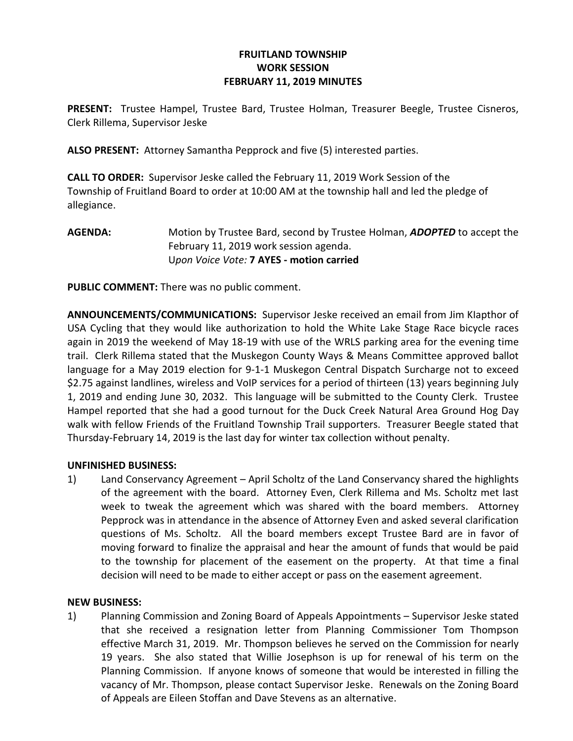## FRUITLAND TOWNSHIP WORK SESSION FEBRUARY 11, 2019 MINUTES

PRESENT: Trustee Hampel, Trustee Bard, Trustee Holman, Treasurer Beegle, Trustee Cisneros, Clerk Rillema, Supervisor Jeske

ALSO PRESENT: Attorney Samantha Pepprock and five (5) interested parties.

CALL TO ORDER: Supervisor Jeske called the February 11, 2019 Work Session of the Township of Fruitland Board to order at 10:00 AM at the township hall and led the pledge of allegiance.

AGENDA: Motion by Trustee Bard, second by Trustee Holman, ADOPTED to accept the February 11, 2019 work session agenda. Upon Voice Vote: 7 AYES - motion carried

PUBLIC COMMENT: There was no public comment.

ANNOUNCEMENTS/COMMUNICATIONS: Supervisor Jeske received an email from Jim KIapthor of USA Cycling that they would like authorization to hold the White Lake Stage Race bicycle races again in 2019 the weekend of May 18-19 with use of the WRLS parking area for the evening time trail. Clerk Rillema stated that the Muskegon County Ways & Means Committee approved ballot language for a May 2019 election for 9-1-1 Muskegon Central Dispatch Surcharge not to exceed \$2.75 against landlines, wireless and VoIP services for a period of thirteen (13) years beginning July 1, 2019 and ending June 30, 2032. This language will be submitted to the County Clerk. Trustee Hampel reported that she had a good turnout for the Duck Creek Natural Area Ground Hog Day walk with fellow Friends of the Fruitland Township Trail supporters. Treasurer Beegle stated that Thursday-February 14, 2019 is the last day for winter tax collection without penalty.

## UNFINISHED BUSINESS:

1) Land Conservancy Agreement – April Scholtz of the Land Conservancy shared the highlights of the agreement with the board. Attorney Even, Clerk Rillema and Ms. Scholtz met last week to tweak the agreement which was shared with the board members. Attorney Pepprock was in attendance in the absence of Attorney Even and asked several clarification questions of Ms. Scholtz. All the board members except Trustee Bard are in favor of moving forward to finalize the appraisal and hear the amount of funds that would be paid to the township for placement of the easement on the property. At that time a final decision will need to be made to either accept or pass on the easement agreement.

## NEW BUSINESS:

1) Planning Commission and Zoning Board of Appeals Appointments – Supervisor Jeske stated that she received a resignation letter from Planning Commissioner Tom Thompson effective March 31, 2019. Mr. Thompson believes he served on the Commission for nearly 19 years. She also stated that Willie Josephson is up for renewal of his term on the Planning Commission. If anyone knows of someone that would be interested in filling the vacancy of Mr. Thompson, please contact Supervisor Jeske. Renewals on the Zoning Board of Appeals are Eileen Stoffan and Dave Stevens as an alternative.